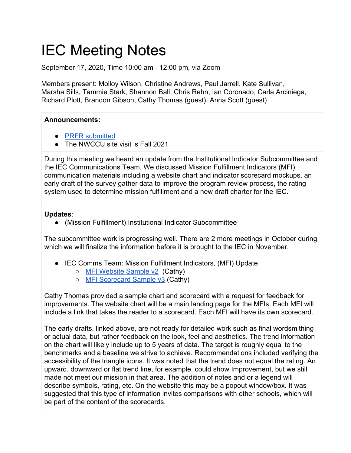# IEC Meeting Notes

September 17, 2020, Time 10:00 am - 12:00 pm, via Zoom

Members present: Molloy Wilson, Christine Andrews, Paul Jarrell, Kate Sullivan, Marsha Sills, Tammie Stark, Shannon Ball, Chris Rehn, Ian Coronado, Carla Arciniega, Richard Plott, Brandon Gibson, Cathy Thomas (guest), Anna Scott (guest)

## **Announcements:**

- [PRFR submitted](https://www.lanecc.edu/accreditation/accreditation-reports)
- The NWCCU site visit is Fall 2021

During this meeting we heard an update from the Institutional Indicator Subcommittee and the IEC Communications Team. We discussed Mission Fulfillment Indicators (MFI) communication materials including a website chart and indicator scorecard mockups, an early draft of the survey gather data to improve the program review process, the rating system used to determine mission fulfillment and a new draft charter for the IEC.

### **Updates**:

(Mission Fulfillment) Institutional Indicator Subcommittee

The subcommittee work is progressing well. There are 2 more meetings in October during which we will finalize the information before it is brought to the IEC in November.

- IEC Comms Team: Mission Fulfillment Indicators, (MFI) Update
	- [MFI Website Sample v2](https://drive.google.com/file/d/1gY9vNEwfrwSsRP2V1v_w-Iaw0Bcisrr5/view?usp=sharing) (Cathy)
	- [MFI Scorecard Sample v3](https://drive.google.com/file/d/11fEBDnxDdBjRkeJArUSqXUCiwoa3zHwG/view?usp=sharing) (Cathy)

Cathy Thomas provided a sample chart and scorecard with a request for feedback for improvements. The website chart will be a main landing page for the MFIs. Each MFI will include a link that takes the reader to a scorecard. Each MFI will have its own scorecard.

The early drafts, linked above, are not ready for detailed work such as final wordsmithing or actual data, but rather feedback on the look, feel and aesthetics. The trend information on the chart will likely include up to 5 years of data. The target is roughly equal to the benchmarks and a baseline we strive to achieve. Recommendations included verifying the accessibility of the triangle icons. It was noted that the trend does not equal the rating. An upward, downward or flat trend line, for example, could show Improvement, but we still made not meet our mission in that area. The addition of notes and or a legend will describe symbols, rating, etc. On the website this may be a popout window/box. It was suggested that this type of information invites comparisons with other schools, which will be part of the content of the scorecards.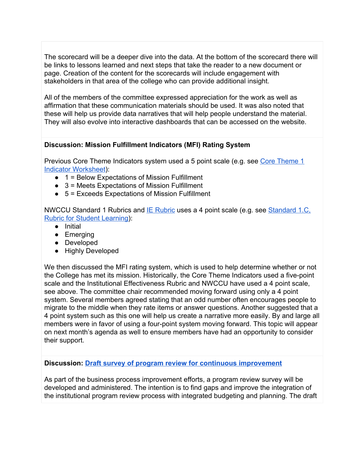The scorecard will be a deeper dive into the data. At the bottom of the scorecard there will be links to lessons learned and next steps that take the reader to a new document or page. Creation of the content for the scorecards will include engagement with stakeholders in that area of the college who can provide additional insight.

All of the members of the committee expressed appreciation for the work as well as affirmation that these communication materials should be used. It was also noted that these will help us provide data narratives that will help people understand the material. They will also evolve into interactive dashboards that can be accessed on the website.

### **Discussion: Mission Fulfillment Indicators (MFI) Rating System**

Previous Core Theme Indicators system used a 5 point scale (e.g. see [Core Theme 1](https://www.lanecc.edu/sites/default/files/planning/core_theme_1_indicator_worksheet_ay2019.pdf) [Indicator Worksheet\)](https://www.lanecc.edu/sites/default/files/planning/core_theme_1_indicator_worksheet_ay2019.pdf):

- 1 = Below Expectations of Mission Fulfillment
- $\bullet$  3 = Meets Expectations of Mission Fulfillment
- $\bullet$  5 = Exceeds Expectations of Mission Fulfillment

NWCCU Standard 1 Rubrics and **[IE Rubric](https://docs.google.com/document/d/1GF4jhJOq6w9NarfNKFpQEc31Hb0SRHPM0zHz3rd0_Wo/edit#heading=h.gjdgxs) uses a 4 point scale (e.g. see Standard 1.C.** [Rubric for Student Learning](https://www.lanecc.edu/sites/default/files/accreditation/nwccu_rubric_for_student_learning_accreditation_handbook_2020_appendix_c.pdf)):

- Initial
- Emerging
- Developed
- Highly Developed

We then discussed the MFI rating system, which is used to help determine whether or not the College has met its mission. Historically, the Core Theme Indicators used a five-point scale and the Institutional Effectiveness Rubric and NWCCU have used a 4 point scale, see above. The committee chair recommended moving forward using only a 4 point system. Several members agreed stating that an odd number often encourages people to migrate to the middle when they rate items or answer questions. Another suggested that a 4 point system such as this one will help us create a narrative more easily. By and large all members were in favor of using a four-point system moving forward. This topic will appear on next month's agenda as well to ensure members have had an opportunity to consider their support.

**Discussion: [Draft survey of program review for continuous improvement](https://docs.google.com/document/d/1ZtvFxyPlmLZ0-VE_viyZNH4ewfshFmPKQD-uJW6swFY/edit?usp=sharing)**

As part of the business process improvement efforts, a program review survey will be developed and administered. The intention is to find gaps and improve the integration of the institutional program review process with integrated budgeting and planning. The draft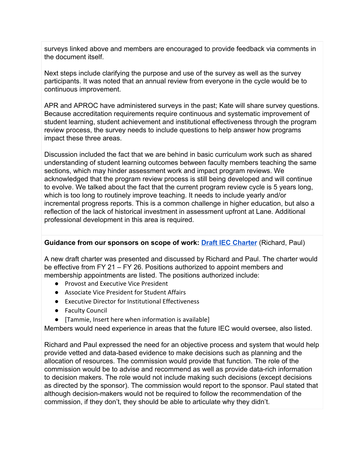surveys linked above and members are encouraged to provide feedback via comments in the document itself.

Next steps include clarifying the purpose and use of the survey as well as the survey participants. It was noted that an annual review from everyone in the cycle would be to continuous improvement.

APR and APROC have administered surveys in the past; Kate will share survey questions. Because accreditation requirements require continuous and systematic improvement of student learning, student achievement and institutional effectiveness through the program review process, the survey needs to include questions to help answer how programs impact these three areas.

Discussion included the fact that we are behind in basic curriculum work such as shared understanding of student learning outcomes between faculty members teaching the same sections, which may hinder assessment work and impact program reviews. We acknowledged that the program review process is still being developed and will continue to evolve. We talked about the fact that the current program review cycle is 5 years long, which is too long to routinely improve teaching. It needs to include yearly and/or incremental progress reports. This is a common challenge in higher education, but also a reflection of the lack of historical investment in assessment upfront at Lane. Additional professional development in this area is required.

### **Guidance from our sponsors on scope of work: [Draft IEC Charter](https://docs.google.com/document/d/1s3v0YWMlh8MaBXFhY3kwqYYCGJpt5TyYBpLRhtF-COE/edit?usp=sharing)** (Richard, Paul)

A new draft charter was presented and discussed by Richard and Paul. The charter would be effective from FY 21 – FY 26. Positions authorized to appoint members and membership appointments are listed. The positions authorized include:

- Provost and Executive Vice President
- Associate Vice President for Student Affairs
- Executive Director for Institutional Effectiveness
- Faculty Council
- [Tammie, Insert here when information is available]

Members would need experience in areas that the future IEC would oversee, also listed.

Richard and Paul expressed the need for an objective process and system that would help provide vetted and data-based evidence to make decisions such as planning and the allocation of resources. The commission would provide that function. The role of the commission would be to advise and recommend as well as provide data-rich information to decision makers. The role would not include making such decisions (except decisions as directed by the sponsor). The commission would report to the sponsor. Paul stated that although decision-makers would not be required to follow the recommendation of the commission, if they don't, they should be able to articulate why they didn't.